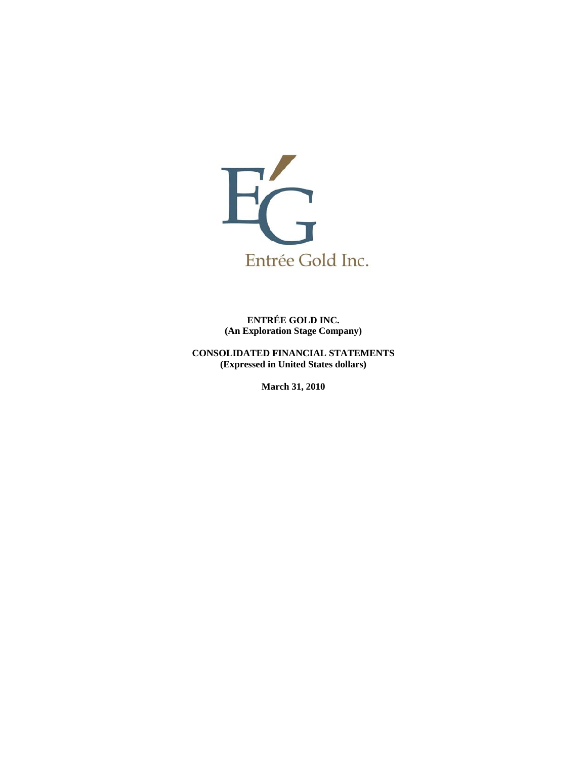

**ENTRÉE GOLD INC. (An Exploration Stage Company)** 

**CONSOLIDATED FINANCIAL STATEMENTS (Expressed in United States dollars)** 

**March 31, 2010**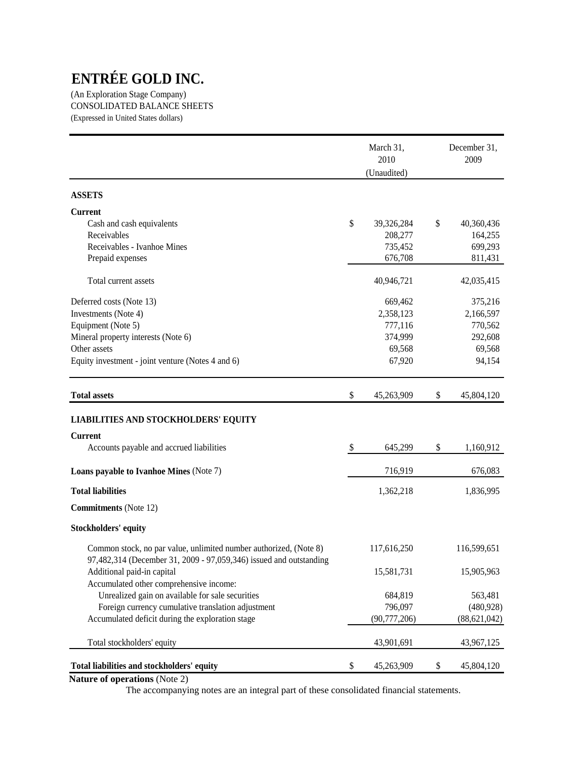(An Exploration Stage Company) CONSOLIDATED BALANCE SHEETS (Expressed in United States dollars)

|                                                                                                                                         | March 31,<br>2010<br>(Unaudited) | December 31,<br>2009         |
|-----------------------------------------------------------------------------------------------------------------------------------------|----------------------------------|------------------------------|
| <b>ASSETS</b>                                                                                                                           |                                  |                              |
| <b>Current</b>                                                                                                                          |                                  |                              |
| Cash and cash equivalents                                                                                                               | \$<br>39,326,284                 | \$<br>40,360,436             |
| Receivables                                                                                                                             | 208,277                          | 164,255                      |
| Receivables - Ivanhoe Mines                                                                                                             | 735,452                          | 699,293                      |
| Prepaid expenses                                                                                                                        | 676,708                          | 811,431                      |
| Total current assets                                                                                                                    | 40,946,721                       | 42,035,415                   |
| Deferred costs (Note 13)                                                                                                                | 669,462                          | 375,216                      |
| Investments (Note 4)                                                                                                                    | 2,358,123                        | 2,166,597                    |
| Equipment (Note 5)                                                                                                                      | 777,116                          | 770,562                      |
| Mineral property interests (Note 6)                                                                                                     | 374,999                          | 292,608                      |
| Other assets                                                                                                                            | 69,568                           | 69,568                       |
| Equity investment - joint venture (Notes 4 and 6)                                                                                       | 67,920                           | 94,154                       |
| <b>Total assets</b>                                                                                                                     | \$<br>45,263,909                 | \$<br>45,804,120             |
| <b>LIABILITIES AND STOCKHOLDERS' EQUITY</b>                                                                                             |                                  |                              |
| <b>Current</b>                                                                                                                          |                                  |                              |
| Accounts payable and accrued liabilities                                                                                                | \$<br>645,299                    | \$<br>1,160,912              |
| Loans payable to Ivanhoe Mines (Note 7)                                                                                                 | 716,919                          | 676,083                      |
| <b>Total liabilities</b>                                                                                                                | 1,362,218                        | 1,836,995                    |
| <b>Commitments</b> (Note 12)                                                                                                            |                                  |                              |
| <b>Stockholders' equity</b>                                                                                                             |                                  |                              |
| Common stock, no par value, unlimited number authorized, (Note 8)<br>97,482,314 (December 31, 2009 - 97,059,346) issued and outstanding | 117,616,250                      | 116,599,651                  |
| Additional paid-in capital                                                                                                              | 15,581,731                       | 15,905,963                   |
| Accumulated other comprehensive income:                                                                                                 |                                  |                              |
| Unrealized gain on available for sale securities                                                                                        | 684,819                          | 563,481                      |
| Foreign currency cumulative translation adjustment<br>Accumulated deficit during the exploration stage                                  | 796,097<br>(90, 777, 206)        | (480, 928)<br>(88, 621, 042) |
| Total stockholders' equity                                                                                                              | 43,901,691                       | 43,967,125                   |
| Total liabilities and stockholders' equity                                                                                              | \$<br>45,263,909                 | \$<br>45,804,120             |

**Nature of operations** (Note 2)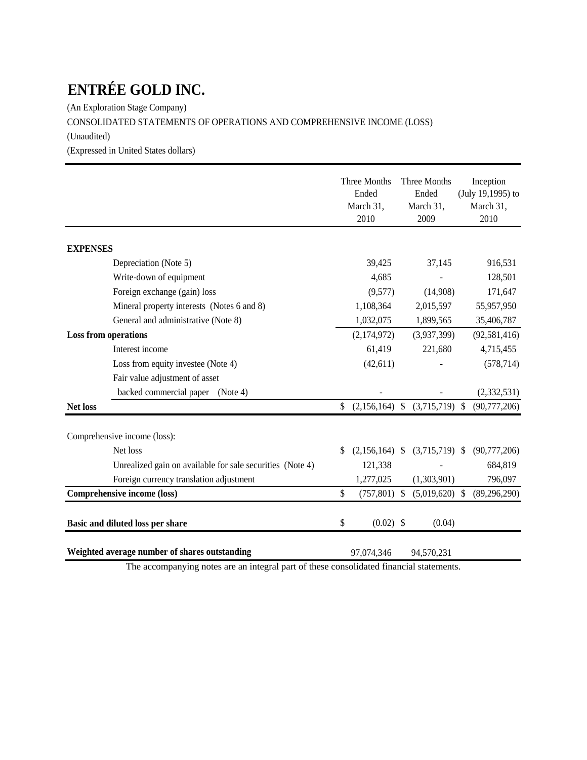(An Exploration Stage Company)

# CONSOLIDATED STATEMENTS OF OPERATIONS AND COMPREHENSIVE INCOME (LOSS)

(Unaudited)

(Expressed in United States dollars)

|                 |                                                           | Three Months<br>Ended<br>March 31,<br>2010 |    | Three Months<br>Ended<br>March 31,<br>2009 |                           | Inception<br>(July 19,1995) to<br>March 31,<br>2010 |
|-----------------|-----------------------------------------------------------|--------------------------------------------|----|--------------------------------------------|---------------------------|-----------------------------------------------------|
| <b>EXPENSES</b> |                                                           |                                            |    |                                            |                           |                                                     |
|                 | Depreciation (Note 5)                                     | 39,425                                     |    | 37,145                                     |                           | 916,531                                             |
|                 | Write-down of equipment                                   | 4,685                                      |    |                                            |                           | 128,501                                             |
|                 | Foreign exchange (gain) loss                              | (9,577)                                    |    | (14,908)                                   |                           | 171,647                                             |
|                 | Mineral property interests (Notes 6 and 8)                | 1,108,364                                  |    | 2,015,597                                  |                           | 55,957,950                                          |
|                 | General and administrative (Note 8)                       | 1,032,075                                  |    | 1,899,565                                  |                           | 35,406,787                                          |
|                 | <b>Loss from operations</b>                               | (2,174,972)                                |    | (3,937,399)                                |                           | (92, 581, 416)                                      |
|                 | Interest income                                           | 61,419                                     |    | 221,680                                    |                           | 4,715,455                                           |
|                 | Loss from equity investee (Note 4)                        | (42, 611)                                  |    |                                            |                           | (578, 714)                                          |
|                 | Fair value adjustment of asset                            |                                            |    |                                            |                           |                                                     |
|                 | backed commercial paper<br>(Note 4)                       |                                            |    |                                            |                           | (2,332,531)                                         |
| <b>Net loss</b> |                                                           | \$<br>$(2,156,164)$ \$                     |    | $(3,715,719)$ \$                           |                           | (90, 777, 206)                                      |
|                 | Comprehensive income (loss):                              |                                            |    |                                            |                           |                                                     |
|                 | Net loss                                                  | \$<br>$(2,156,164)$ \$                     |    | $(3,715,719)$ \$                           |                           | (90, 777, 206)                                      |
|                 | Unrealized gain on available for sale securities (Note 4) | 121,338                                    |    |                                            |                           | 684,819                                             |
|                 | Foreign currency translation adjustment                   | 1,277,025                                  |    | (1,303,901)                                |                           | 796,097                                             |
|                 | Comprehensive income (loss)                               | \$<br>(757, 801)                           | -S | (5,019,620)                                | $\boldsymbol{\mathsf{S}}$ | (89, 296, 290)                                      |
|                 | Basic and diluted loss per share                          | \$<br>$(0.02)$ \$                          |    | (0.04)                                     |                           |                                                     |
|                 | Weighted average number of shares outstanding             | 97,074,346                                 |    | 94,570,231                                 |                           |                                                     |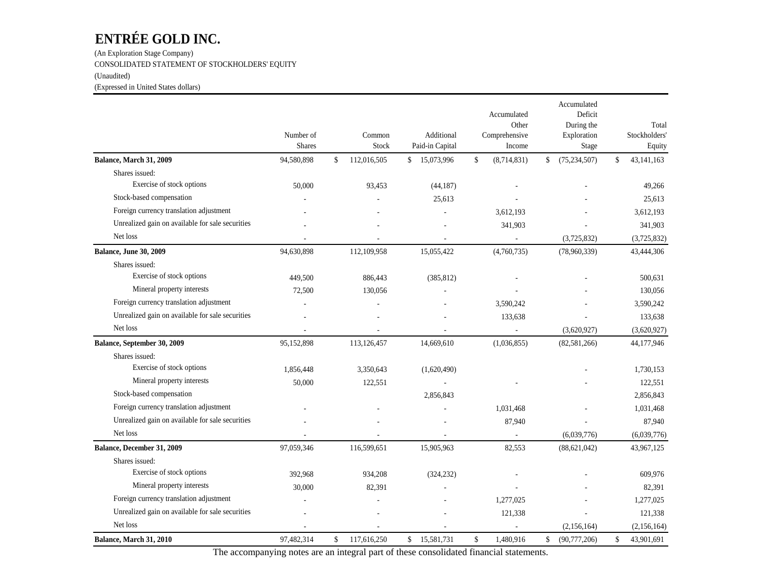(An Exploration Stage Company) CONSOLIDATED STATEMENT OF STOCKHOLDERS' EQUITY (Unaudited) (Expressed in United States dollars)

|                                                  | Number of<br><b>Shares</b> | Common<br>Stock   | Additional<br>Paid-in Capital | Accumulated<br>Other<br>Comprehensive<br>Income | Accumulated<br>Deficit<br>During the<br>Exploration<br>Stage | Total<br>Stockholders'<br>Equity |
|--------------------------------------------------|----------------------------|-------------------|-------------------------------|-------------------------------------------------|--------------------------------------------------------------|----------------------------------|
| Balance, March 31, 2009                          | 94,580,898                 | \$<br>112,016,505 | \$<br>15,073,996              | \$<br>(8,714,831)                               | \$<br>(75, 234, 507)                                         | \$<br>43, 141, 163               |
| Shares issued:                                   |                            |                   |                               |                                                 |                                                              |                                  |
| Exercise of stock options                        | 50,000                     | 93,453            | (44, 187)                     |                                                 |                                                              | 49,266                           |
| Stock-based compensation                         |                            |                   | 25,613                        |                                                 |                                                              | 25,613                           |
| Foreign currency translation adjustment          |                            |                   |                               | 3,612,193                                       |                                                              | 3,612,193                        |
| Unrealized gain on available for sale securities |                            |                   |                               | 341,903                                         |                                                              | 341,903                          |
| Net loss                                         |                            |                   |                               |                                                 | (3,725,832)                                                  | (3,725,832)                      |
| <b>Balance, June 30, 2009</b>                    | 94,630,898                 | 112,109,958       | 15,055,422                    | (4,760,735)                                     | (78,960,339)                                                 | 43,444,306                       |
| Shares issued:                                   |                            |                   |                               |                                                 |                                                              |                                  |
| Exercise of stock options                        | 449,500                    | 886,443           | (385, 812)                    |                                                 |                                                              | 500,631                          |
| Mineral property interests                       | 72,500                     | 130,056           |                               |                                                 |                                                              | 130,056                          |
| Foreign currency translation adjustment          |                            |                   |                               | 3,590,242                                       |                                                              | 3,590,242                        |
| Unrealized gain on available for sale securities |                            |                   |                               | 133,638                                         |                                                              | 133,638                          |
| Net loss                                         |                            |                   |                               |                                                 | (3,620,927)                                                  | (3,620,927)                      |
| Balance, September 30, 2009                      | 95,152,898                 | 113,126,457       | 14,669,610                    | (1,036,855)                                     | (82, 581, 266)                                               | 44,177,946                       |
| Shares issued:                                   |                            |                   |                               |                                                 |                                                              |                                  |
| Exercise of stock options                        | 1,856,448                  | 3,350,643         | (1,620,490)                   |                                                 |                                                              | 1,730,153                        |
| Mineral property interests                       | 50,000                     | 122,551           |                               |                                                 |                                                              | 122,551                          |
| Stock-based compensation                         |                            |                   | 2,856,843                     |                                                 |                                                              | 2,856,843                        |
| Foreign currency translation adjustment          |                            |                   |                               | 1.031.468                                       |                                                              | 1,031,468                        |
| Unrealized gain on available for sale securities |                            |                   |                               | 87,940                                          |                                                              | 87,940                           |
| Net loss                                         |                            |                   |                               | $\overline{a}$                                  | (6,039,776)                                                  | (6,039,776)                      |
| Balance, December 31, 2009                       | 97,059,346                 | 116,599,651       | 15,905,963                    | 82,553                                          | (88, 621, 042)                                               | 43,967,125                       |
| Shares issued:                                   |                            |                   |                               |                                                 |                                                              |                                  |
| Exercise of stock options                        | 392,968                    | 934,208           | (324, 232)                    |                                                 |                                                              | 609,976                          |
| Mineral property interests                       | 30,000                     | 82,391            |                               |                                                 |                                                              | 82,391                           |
| Foreign currency translation adjustment          |                            |                   |                               | 1,277,025                                       |                                                              | 1,277,025                        |
| Unrealized gain on available for sale securities |                            |                   |                               | 121,338                                         |                                                              | 121,338                          |
| Net loss                                         |                            |                   |                               |                                                 | (2,156,164)                                                  | (2,156,164)                      |
| Balance, March 31, 2010                          | 97,482,314                 | \$<br>117,616,250 | \$<br>15,581,731              | \$<br>1,480,916                                 | \$<br>(90, 777, 206)                                         | \$<br>43,901,691                 |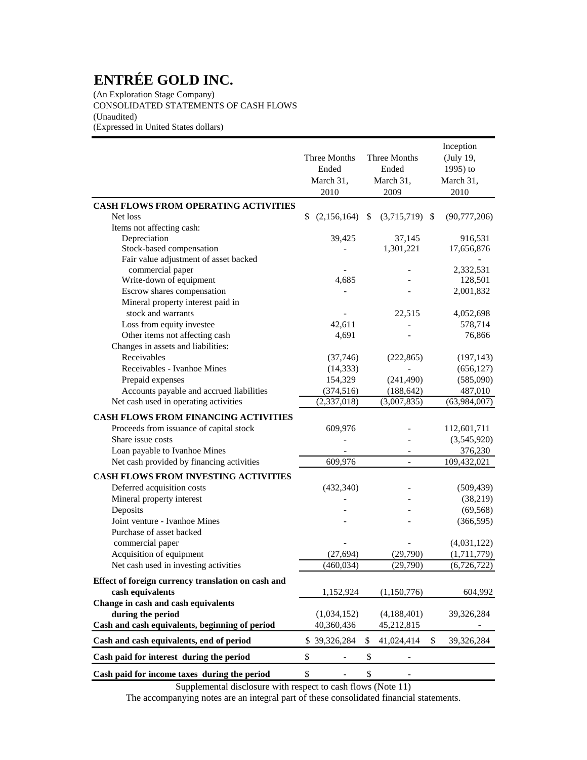(An Exploration Stage Company) CONSOLIDATED STATEMENTS OF CASH FLOWS (Unaudited) (Expressed in United States dollars)

|                                                    |                   | Inception              |                  |
|----------------------------------------------------|-------------------|------------------------|------------------|
|                                                    | Three Months      | Three Months           | (July 19,        |
|                                                    | Ended             | Ended                  | 1995) to         |
|                                                    | March 31,         | March 31,              | March 31,        |
|                                                    | 2010              | 2009                   | 2010             |
| <b>CASH FLOWS FROM OPERATING ACTIVITIES</b>        |                   |                        |                  |
| Net loss                                           | \$<br>(2,156,164) | $(3,715,719)$ \$<br>\$ | (90,777,206)     |
| Items not affecting cash:                          |                   |                        |                  |
| Depreciation                                       | 39,425            | 37,145                 | 916,531          |
| Stock-based compensation                           |                   | 1,301,221              | 17,656,876       |
| Fair value adjustment of asset backed              |                   |                        |                  |
| commercial paper                                   |                   |                        | 2,332,531        |
| Write-down of equipment                            | 4,685             |                        | 128,501          |
| Escrow shares compensation                         |                   |                        | 2,001,832        |
| Mineral property interest paid in                  |                   |                        |                  |
| stock and warrants                                 |                   | 22,515                 | 4,052,698        |
| Loss from equity investee                          | 42,611            |                        | 578,714          |
| Other items not affecting cash                     | 4,691             |                        | 76,866           |
| Changes in assets and liabilities:                 |                   |                        |                  |
| Receivables                                        | (37,746)          | (222, 865)             | (197, 143)       |
| Receivables - Ivanhoe Mines                        | (14, 333)         |                        | (656, 127)       |
| Prepaid expenses                                   | 154,329           | (241, 490)             | (585,090)        |
| Accounts payable and accrued liabilities           | (374, 516)        | (188, 642)             | 487,010          |
| Net cash used in operating activities              | (2,337,018)       | (3,007,835)            | (63,984,007)     |
| <b>CASH FLOWS FROM FINANCING ACTIVITIES</b>        |                   |                        |                  |
| Proceeds from issuance of capital stock            | 609,976           |                        | 112,601,711      |
| Share issue costs                                  |                   |                        | (3,545,920)      |
| Loan payable to Ivanhoe Mines                      |                   |                        | 376,230          |
| Net cash provided by financing activities          | 609,976           |                        | 109,432,021      |
| <b>CASH FLOWS FROM INVESTING ACTIVITIES</b>        |                   |                        |                  |
|                                                    |                   |                        |                  |
| Deferred acquisition costs                         | (432, 340)        |                        | (509, 439)       |
| Mineral property interest                          |                   |                        | (38,219)         |
| Deposits                                           |                   |                        | (69, 568)        |
| Joint venture - Ivanhoe Mines                      |                   |                        | (366, 595)       |
| Purchase of asset backed                           |                   |                        |                  |
| commercial paper                                   |                   |                        | (4,031,122)      |
| Acquisition of equipment                           | (27, 694)         | (29,790)               | (1,711,779)      |
| Net cash used in investing activities              | (460, 034)        | (29,790)               | (6,726,722)      |
| Effect of foreign currency translation on cash and |                   |                        |                  |
| cash equivalents                                   | 1,152,924         | (1,150,776)            | 604,992          |
| Change in cash and cash equivalents                |                   |                        |                  |
| during the period                                  | (1,034,152)       | (4,188,401)            | 39,326,284       |
| Cash and cash equivalents, beginning of period     | 40,360,436        | 45,212,815             |                  |
| Cash and cash equivalents, end of period           | \$39,326,284      | 41,024,414<br>\$       | \$<br>39,326,284 |
|                                                    | \$                | \$                     |                  |
| Cash paid for interest during the period           |                   |                        |                  |
| Cash paid for income taxes during the period       | \$                | \$                     |                  |

Supplemental disclosure with respect to cash flows (Note 11)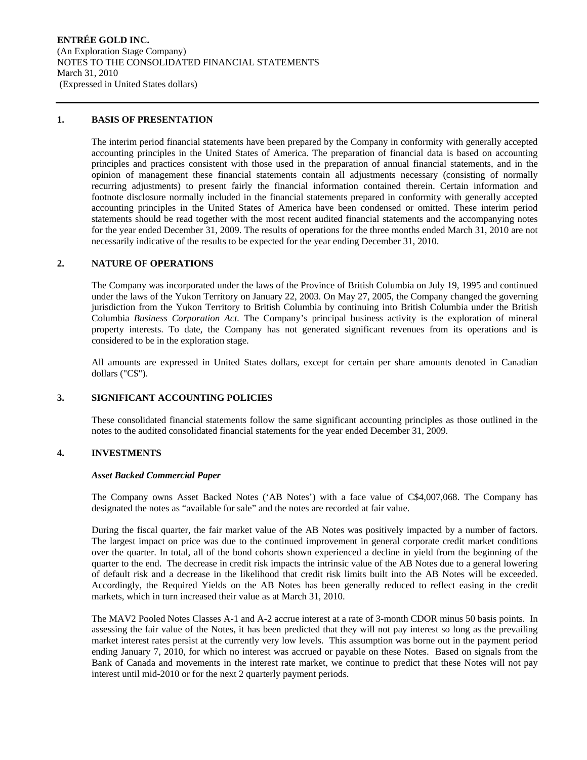#### **1. BASIS OF PRESENTATION**

The interim period financial statements have been prepared by the Company in conformity with generally accepted accounting principles in the United States of America. The preparation of financial data is based on accounting principles and practices consistent with those used in the preparation of annual financial statements, and in the opinion of management these financial statements contain all adjustments necessary (consisting of normally recurring adjustments) to present fairly the financial information contained therein. Certain information and footnote disclosure normally included in the financial statements prepared in conformity with generally accepted accounting principles in the United States of America have been condensed or omitted. These interim period statements should be read together with the most recent audited financial statements and the accompanying notes for the year ended December 31, 2009. The results of operations for the three months ended March 31, 2010 are not necessarily indicative of the results to be expected for the year ending December 31, 2010.

# **2. NATURE OF OPERATIONS**

The Company was incorporated under the laws of the Province of British Columbia on July 19, 1995 and continued under the laws of the Yukon Territory on January 22, 2003. On May 27, 2005, the Company changed the governing jurisdiction from the Yukon Territory to British Columbia by continuing into British Columbia under the British Columbia *Business Corporation Act.* The Company's principal business activity is the exploration of mineral property interests. To date, the Company has not generated significant revenues from its operations and is considered to be in the exploration stage.

All amounts are expressed in United States dollars, except for certain per share amounts denoted in Canadian dollars ("C\$").

# **3. SIGNIFICANT ACCOUNTING POLICIES**

These consolidated financial statements follow the same significant accounting principles as those outlined in the notes to the audited consolidated financial statements for the year ended December 31, 2009.

#### **4. INVESTMENTS**

#### *Asset Backed Commercial Paper*

The Company owns Asset Backed Notes ('AB Notes') with a face value of C\$4,007,068. The Company has designated the notes as "available for sale" and the notes are recorded at fair value.

During the fiscal quarter, the fair market value of the AB Notes was positively impacted by a number of factors. The largest impact on price was due to the continued improvement in general corporate credit market conditions over the quarter. In total, all of the bond cohorts shown experienced a decline in yield from the beginning of the quarter to the end. The decrease in credit risk impacts the intrinsic value of the AB Notes due to a general lowering of default risk and a decrease in the likelihood that credit risk limits built into the AB Notes will be exceeded. Accordingly, the Required Yields on the AB Notes has been generally reduced to reflect easing in the credit markets, which in turn increased their value as at March 31, 2010.

The MAV2 Pooled Notes Classes A-1 and A-2 accrue interest at a rate of 3-month CDOR minus 50 basis points. In assessing the fair value of the Notes, it has been predicted that they will not pay interest so long as the prevailing market interest rates persist at the currently very low levels. This assumption was borne out in the payment period ending January 7, 2010, for which no interest was accrued or payable on these Notes. Based on signals from the Bank of Canada and movements in the interest rate market, we continue to predict that these Notes will not pay interest until mid-2010 or for the next 2 quarterly payment periods.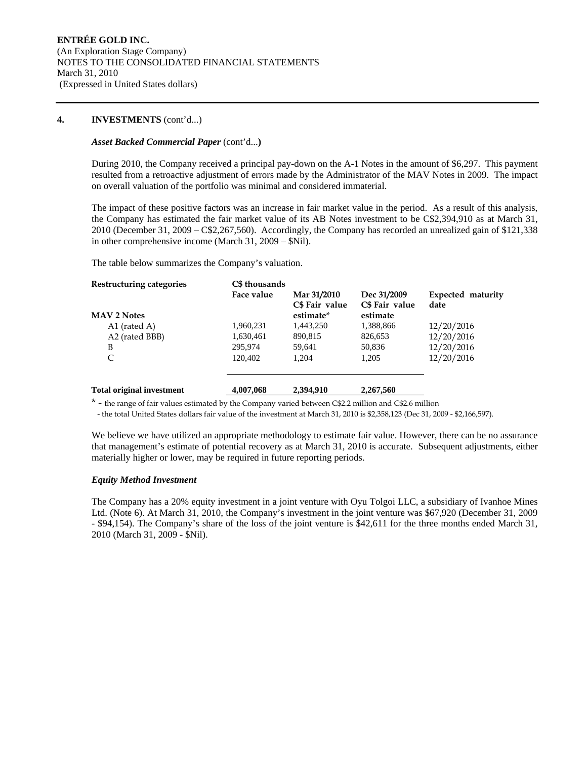# **4. INVESTMENTS** (cont'd...)

#### *Asset Backed Commercial Paper* (cont'd...**)**

During 2010, the Company received a principal pay-down on the A-1 Notes in the amount of \$6,297. This payment resulted from a retroactive adjustment of errors made by the Administrator of the MAV Notes in 2009. The impact on overall valuation of the portfolio was minimal and considered immaterial.

The impact of these positive factors was an increase in fair market value in the period. As a result of this analysis, the Company has estimated the fair market value of its AB Notes investment to be C\$2,394,910 as at March 31, 2010 (December 31, 2009 – C\$2,267,560). Accordingly, the Company has recorded an unrealized gain of \$121,338 in other comprehensive income (March 31, 2009 – \$Nil).

The table below summarizes the Company's valuation.

| Restructuring categories         | C\$ thousands |                |                |                   |
|----------------------------------|---------------|----------------|----------------|-------------------|
|                                  | Face value    | Mar 31/2010    | Dec 31/2009    | Expected maturity |
|                                  |               | C\$ Fair value | C\$ Fair value | date              |
| <b>MAV 2 Notes</b>               |               | estimate*      | estimate       |                   |
| A1 (rated A)                     | 1,960,231     | 1,443,250      | 1,388,866      | 12/20/2016        |
| A2 (rated BBB)                   | 1,630,461     | 890,815        | 826,653        | 12/20/2016        |
| B                                | 295,974       | 59,641         | 50,836         | 12/20/2016        |
| C                                | 120,402       | 1,204          | 1,205          | 12/20/2016        |
| <b>Total original investment</b> | 4,007,068     | 2,394,910      | 2,267,560      |                   |
|                                  |               |                |                |                   |

\* - the range of fair values estimated by the Company varied between C\$2.2 million and C\$2.6 million

- the total United States dollars fair value of the investment at March 31, 2010 is \$2,358,123 (Dec 31, 2009 - \$2,166,597).

We believe we have utilized an appropriate methodology to estimate fair value. However, there can be no assurance that management's estimate of potential recovery as at March 31, 2010 is accurate. Subsequent adjustments, either materially higher or lower, may be required in future reporting periods.

# *Equity Method Investment*

The Company has a 20% equity investment in a joint venture with Oyu Tolgoi LLC, a subsidiary of Ivanhoe Mines Ltd. (Note 6). At March 31, 2010, the Company's investment in the joint venture was \$67,920 (December 31, 2009 - \$94,154). The Company's share of the loss of the joint venture is \$42,611 for the three months ended March 31, 2010 (March 31, 2009 - \$Nil).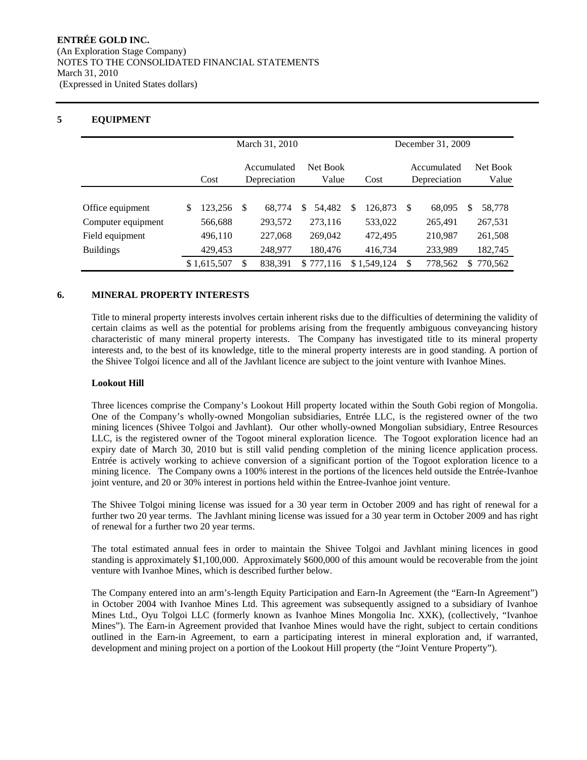# **5 EQUIPMENT**

|                    |                                                          |             | March 31, 2010 |         |   |                             |   |                   |     |         |    | December 31, 2009 |  |  |
|--------------------|----------------------------------------------------------|-------------|----------------|---------|---|-----------------------------|---|-------------------|-----|---------|----|-------------------|--|--|
|                    | Accumulated<br>Net Book<br>Depreciation<br>Value<br>Cost |             |                | Cost    |   | Accumulated<br>Depreciation |   | Net Book<br>Value |     |         |    |                   |  |  |
|                    |                                                          |             |                |         |   |                             |   |                   |     |         |    |                   |  |  |
| Office equipment   | \$                                                       | 123,256     | -S             | 68.774  | S | 54.482                      | S | 126.873           | \$. | 68,095  | S  | 58,778            |  |  |
| Computer equipment |                                                          | 566,688     |                | 293,572 |   | 273,116                     |   | 533,022           |     | 265,491 |    | 267,531           |  |  |
| Field equipment    |                                                          | 496,110     |                | 227,068 |   | 269,042                     |   | 472,495           |     | 210,987 |    | 261,508           |  |  |
| <b>Buildings</b>   |                                                          | 429,453     |                | 248,977 |   | 180,476                     |   | 416,734           |     | 233,989 |    | 182,745           |  |  |
|                    |                                                          | \$1,615,507 | \$             | 838.391 |   | \$777.116                   |   | \$1.549.124       | \$. | 778,562 | S. | 770.562           |  |  |

# **6. MINERAL PROPERTY INTERESTS**

Title to mineral property interests involves certain inherent risks due to the difficulties of determining the validity of certain claims as well as the potential for problems arising from the frequently ambiguous conveyancing history characteristic of many mineral property interests. The Company has investigated title to its mineral property interests and, to the best of its knowledge, title to the mineral property interests are in good standing. A portion of the Shivee Tolgoi licence and all of the Javhlant licence are subject to the joint venture with Ivanhoe Mines.

#### **Lookout Hill**

Three licences comprise the Company's Lookout Hill property located within the South Gobi region of Mongolia. One of the Company's wholly-owned Mongolian subsidiaries, Entrée LLC, is the registered owner of the two mining licences (Shivee Tolgoi and Javhlant). Our other wholly-owned Mongolian subsidiary, Entree Resources LLC, is the registered owner of the Togoot mineral exploration licence. The Togoot exploration licence had an expiry date of March 30, 2010 but is still valid pending completion of the mining licence application process. Entrée is actively working to achieve conversion of a significant portion of the Togoot exploration licence to a mining licence. The Company owns a 100% interest in the portions of the licences held outside the Entrée-Ivanhoe joint venture, and 20 or 30% interest in portions held within the Entree-Ivanhoe joint venture.

The Shivee Tolgoi mining license was issued for a 30 year term in October 2009 and has right of renewal for a further two 20 year terms. The Javhlant mining license was issued for a 30 year term in October 2009 and has right of renewal for a further two 20 year terms.

The total estimated annual fees in order to maintain the Shivee Tolgoi and Javhlant mining licences in good standing is approximately \$1,100,000. Approximately \$600,000 of this amount would be recoverable from the joint venture with Ivanhoe Mines, which is described further below.

The Company entered into an arm's-length Equity Participation and Earn-In Agreement (the "Earn-In Agreement") in October 2004 with Ivanhoe Mines Ltd. This agreement was subsequently assigned to a subsidiary of Ivanhoe Mines Ltd., Oyu Tolgoi LLC (formerly known as Ivanhoe Mines Mongolia Inc. XXK), (collectively, "Ivanhoe Mines"). The Earn-in Agreement provided that Ivanhoe Mines would have the right, subject to certain conditions outlined in the Earn-in Agreement, to earn a participating interest in mineral exploration and, if warranted, development and mining project on a portion of the Lookout Hill property (the "Joint Venture Property").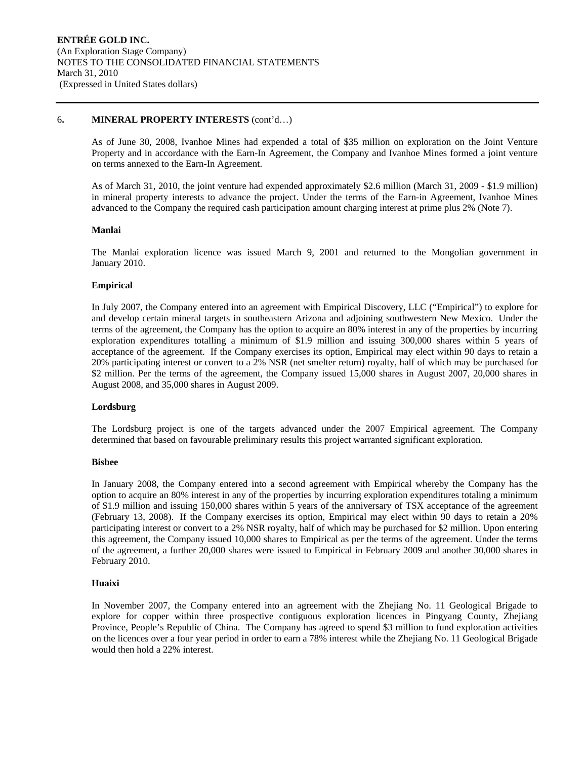#### 6**. MINERAL PROPERTY INTERESTS** (cont'd…)

As of June 30, 2008, Ivanhoe Mines had expended a total of \$35 million on exploration on the Joint Venture Property and in accordance with the Earn-In Agreement, the Company and Ivanhoe Mines formed a joint venture on terms annexed to the Earn-In Agreement.

As of March 31, 2010, the joint venture had expended approximately \$2.6 million (March 31, 2009 - \$1.9 million) in mineral property interests to advance the project. Under the terms of the Earn-in Agreement, Ivanhoe Mines advanced to the Company the required cash participation amount charging interest at prime plus 2% (Note 7).

# **Manlai**

The Manlai exploration licence was issued March 9, 2001 and returned to the Mongolian government in January 2010.

# **Empirical**

In July 2007, the Company entered into an agreement with Empirical Discovery, LLC ("Empirical") to explore for and develop certain mineral targets in southeastern Arizona and adjoining southwestern New Mexico. Under the terms of the agreement, the Company has the option to acquire an 80% interest in any of the properties by incurring exploration expenditures totalling a minimum of \$1.9 million and issuing 300,000 shares within 5 years of acceptance of the agreement. If the Company exercises its option, Empirical may elect within 90 days to retain a 20% participating interest or convert to a 2% NSR (net smelter return) royalty, half of which may be purchased for \$2 million. Per the terms of the agreement, the Company issued 15,000 shares in August 2007, 20,000 shares in August 2008, and 35,000 shares in August 2009.

#### **Lordsburg**

The Lordsburg project is one of the targets advanced under the 2007 Empirical agreement. The Company determined that based on favourable preliminary results this project warranted significant exploration.

#### **Bisbee**

In January 2008, the Company entered into a second agreement with Empirical whereby the Company has the option to acquire an 80% interest in any of the properties by incurring exploration expenditures totaling a minimum of \$1.9 million and issuing 150,000 shares within 5 years of the anniversary of TSX acceptance of the agreement (February 13, 2008). If the Company exercises its option, Empirical may elect within 90 days to retain a 20% participating interest or convert to a 2% NSR royalty, half of which may be purchased for \$2 million. Upon entering this agreement, the Company issued 10,000 shares to Empirical as per the terms of the agreement. Under the terms of the agreement, a further 20,000 shares were issued to Empirical in February 2009 and another 30,000 shares in February 2010.

#### **Huaixi**

In November 2007, the Company entered into an agreement with the Zhejiang No. 11 Geological Brigade to explore for copper within three prospective contiguous exploration licences in Pingyang County, Zhejiang Province, People's Republic of China. The Company has agreed to spend \$3 million to fund exploration activities on the licences over a four year period in order to earn a 78% interest while the Zhejiang No. 11 Geological Brigade would then hold a 22% interest.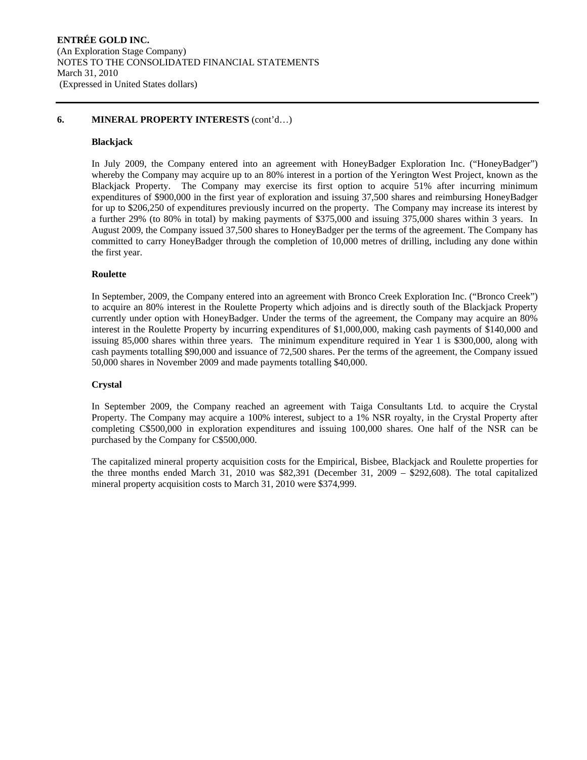# **6. MINERAL PROPERTY INTERESTS** (cont'd…)

# **Blackjack**

In July 2009, the Company entered into an agreement with HoneyBadger Exploration Inc. ("HoneyBadger") whereby the Company may acquire up to an 80% interest in a portion of the Yerington West Project, known as the Blackjack Property. The Company may exercise its first option to acquire 51% after incurring minimum expenditures of \$900,000 in the first year of exploration and issuing 37,500 shares and reimbursing HoneyBadger for up to \$206,250 of expenditures previously incurred on the property. The Company may increase its interest by a further 29% (to 80% in total) by making payments of \$375,000 and issuing 375,000 shares within 3 years. In August 2009, the Company issued 37,500 shares to HoneyBadger per the terms of the agreement. The Company has committed to carry HoneyBadger through the completion of 10,000 metres of drilling, including any done within the first year.

# **Roulette**

In September, 2009, the Company entered into an agreement with Bronco Creek Exploration Inc. ("Bronco Creek") to acquire an 80% interest in the Roulette Property which adjoins and is directly south of the Blackjack Property currently under option with HoneyBadger. Under the terms of the agreement, the Company may acquire an 80% interest in the Roulette Property by incurring expenditures of \$1,000,000, making cash payments of \$140,000 and issuing 85,000 shares within three years. The minimum expenditure required in Year 1 is \$300,000, along with cash payments totalling \$90,000 and issuance of 72,500 shares. Per the terms of the agreement, the Company issued 50,000 shares in November 2009 and made payments totalling \$40,000.

# **Crystal**

In September 2009, the Company reached an agreement with Taiga Consultants Ltd. to acquire the Crystal Property. The Company may acquire a 100% interest, subject to a 1% NSR royalty, in the Crystal Property after completing C\$500,000 in exploration expenditures and issuing 100,000 shares. One half of the NSR can be purchased by the Company for C\$500,000.

The capitalized mineral property acquisition costs for the Empirical, Bisbee, Blackjack and Roulette properties for the three months ended March 31, 2010 was \$82,391 (December 31, 2009 – \$292,608). The total capitalized mineral property acquisition costs to March 31, 2010 were \$374,999.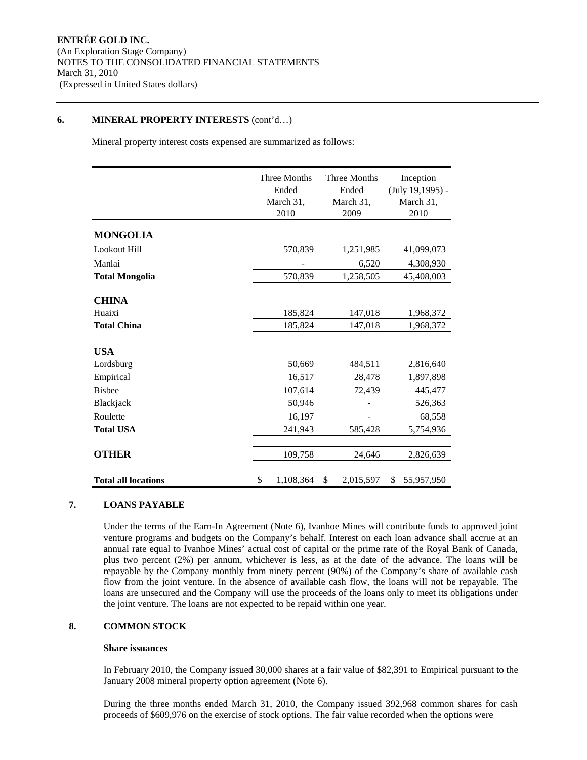# **6. MINERAL PROPERTY INTERESTS** (cont'd…)

Mineral property interest costs expensed are summarized as follows:

|                                              | Three Months<br>Ended<br>March 31,<br>2010 | Three Months<br>Ended<br>March 31,<br>2009 | Inception<br>(July 19,1995) -<br>March 31,<br>2010 |
|----------------------------------------------|--------------------------------------------|--------------------------------------------|----------------------------------------------------|
| <b>MONGOLIA</b>                              |                                            |                                            |                                                    |
| Lookout Hill                                 | 570,839                                    | 1,251,985                                  | 41,099,073                                         |
| Manlai                                       |                                            | 6,520                                      | 4,308,930                                          |
| <b>Total Mongolia</b>                        | 570,839                                    | 1,258,505                                  | 45,408,003                                         |
| <b>CHINA</b><br>Huaixi<br><b>Total China</b> | 185,824<br>185,824                         | 147,018<br>147,018                         | 1,968,372<br>1,968,372                             |
| <b>USA</b>                                   |                                            |                                            |                                                    |
| Lordsburg                                    | 50,669                                     | 484,511                                    | 2,816,640                                          |
| Empirical                                    | 16,517                                     | 28,478                                     | 1,897,898                                          |
| <b>Bisbee</b>                                | 107,614                                    | 72,439                                     | 445,477                                            |
| Blackjack                                    | 50,946                                     |                                            | 526,363                                            |
| Roulette                                     | 16,197                                     |                                            | 68,558                                             |
| <b>Total USA</b>                             | 241,943                                    | 585,428                                    | 5,754,936                                          |
| <b>OTHER</b>                                 | 109,758                                    | 24,646                                     | 2,826,639                                          |
| <b>Total all locations</b>                   | 1,108,364<br>\$                            | \$<br>2,015,597                            | \$<br>55,957,950                                   |

# **7. LOANS PAYABLE**

Under the terms of the Earn-In Agreement (Note 6), Ivanhoe Mines will contribute funds to approved joint venture programs and budgets on the Company's behalf. Interest on each loan advance shall accrue at an annual rate equal to Ivanhoe Mines' actual cost of capital or the prime rate of the Royal Bank of Canada, plus two percent (2%) per annum, whichever is less, as at the date of the advance. The loans will be repayable by the Company monthly from ninety percent (90%) of the Company's share of available cash flow from the joint venture. In the absence of available cash flow, the loans will not be repayable. The loans are unsecured and the Company will use the proceeds of the loans only to meet its obligations under the joint venture. The loans are not expected to be repaid within one year.

# **8. COMMON STOCK**

# **Share issuances**

In February 2010, the Company issued 30,000 shares at a fair value of \$82,391 to Empirical pursuant to the January 2008 mineral property option agreement (Note 6).

During the three months ended March 31, 2010, the Company issued 392,968 common shares for cash proceeds of \$609,976 on the exercise of stock options. The fair value recorded when the options were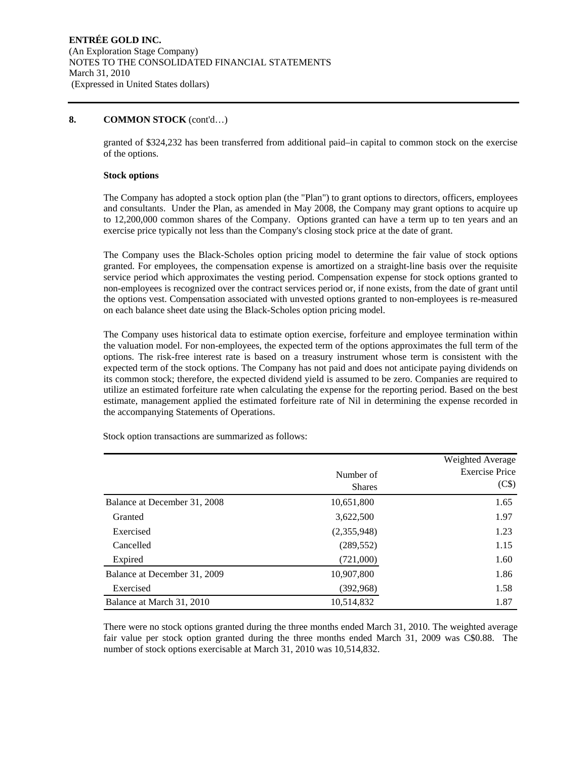granted of \$324,232 has been transferred from additional paid–in capital to common stock on the exercise of the options.

#### **Stock options**

The Company has adopted a stock option plan (the "Plan") to grant options to directors, officers, employees and consultants. Under the Plan, as amended in May 2008, the Company may grant options to acquire up to 12,200,000 common shares of the Company. Options granted can have a term up to ten years and an exercise price typically not less than the Company's closing stock price at the date of grant.

The Company uses the Black-Scholes option pricing model to determine the fair value of stock options granted. For employees, the compensation expense is amortized on a straight-line basis over the requisite service period which approximates the vesting period. Compensation expense for stock options granted to non-employees is recognized over the contract services period or, if none exists, from the date of grant until the options vest. Compensation associated with unvested options granted to non-employees is re-measured on each balance sheet date using the Black-Scholes option pricing model.

The Company uses historical data to estimate option exercise, forfeiture and employee termination within the valuation model. For non-employees, the expected term of the options approximates the full term of the options. The risk-free interest rate is based on a treasury instrument whose term is consistent with the expected term of the stock options. The Company has not paid and does not anticipate paying dividends on its common stock; therefore, the expected dividend yield is assumed to be zero. Companies are required to utilize an estimated forfeiture rate when calculating the expense for the reporting period. Based on the best estimate, management applied the estimated forfeiture rate of Nil in determining the expense recorded in the accompanying Statements of Operations.

|                              |               | Weighted Average      |
|------------------------------|---------------|-----------------------|
|                              | Number of     | <b>Exercise Price</b> |
|                              | <b>Shares</b> | (C\$)                 |
| Balance at December 31, 2008 | 10,651,800    | 1.65                  |
| Granted                      | 3,622,500     | 1.97                  |
| Exercised                    | (2,355,948)   | 1.23                  |
| Cancelled                    | (289, 552)    | 1.15                  |
| Expired                      | (721,000)     | 1.60                  |
| Balance at December 31, 2009 | 10,907,800    | 1.86                  |
| Exercised                    | (392,968)     | 1.58                  |
| Balance at March 31, 2010    | 10,514,832    | 1.87                  |

Stock option transactions are summarized as follows:

There were no stock options granted during the three months ended March 31, 2010. The weighted average fair value per stock option granted during the three months ended March 31, 2009 was C\$0.88. The number of stock options exercisable at March 31, 2010 was 10,514,832.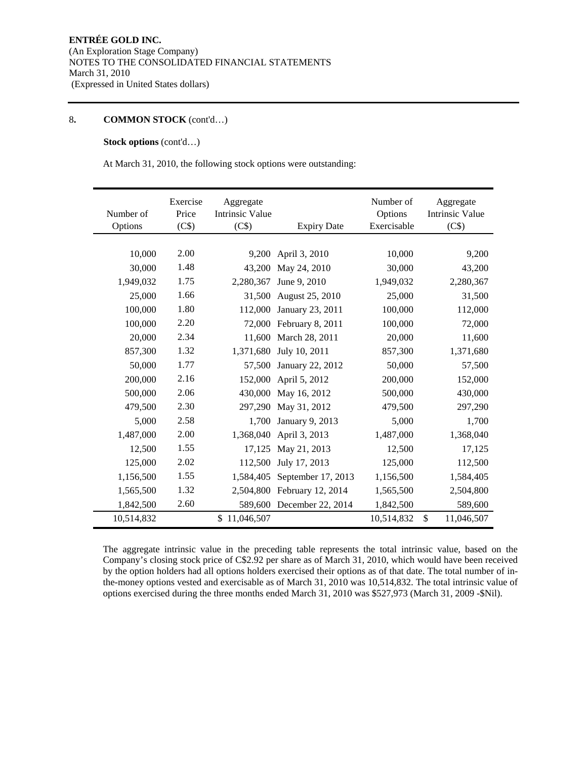# **Stock options** (cont'd…)

At March 31, 2010, the following stock options were outstanding:

| Number of<br>Options | Exercise<br>Price<br>(C\$) | Aggregate<br><b>Intrinsic Value</b><br>(C\$) | <b>Expiry Date</b>      | Number of<br>Options<br>Exercisable | Aggregate<br><b>Intrinsic Value</b><br>(C\$) |
|----------------------|----------------------------|----------------------------------------------|-------------------------|-------------------------------------|----------------------------------------------|
|                      |                            |                                              |                         |                                     |                                              |
| 10,000               | 2.00                       | 9,200                                        | April 3, 2010           | 10,000                              | 9,200                                        |
| 30,000               | 1.48                       | 43,200                                       | May 24, 2010            | 30,000                              | 43,200                                       |
| 1,949,032            | 1.75                       | 2,280,367                                    | June 9, 2010            | 1,949,032                           | 2,280,367                                    |
| 25,000               | 1.66                       | 31,500                                       | August 25, 2010         | 25,000                              | 31,500                                       |
| 100,000              | 1.80                       | 112,000                                      | January 23, 2011        | 100,000                             | 112,000                                      |
| 100,000              | 2.20                       |                                              | 72,000 February 8, 2011 | 100,000                             | 72,000                                       |
| 20,000               | 2.34                       | 11.600                                       | March 28, 2011          | 20,000                              | 11,600                                       |
| 857,300              | 1.32                       | 1,371,680                                    | July 10, 2011           | 857,300                             | 1,371,680                                    |
| 50,000               | 1.77                       | 57,500                                       | January 22, 2012        | 50,000                              | 57,500                                       |
| 200,000              | 2.16                       | 152,000                                      | April 5, 2012           | 200,000                             | 152,000                                      |
| 500,000              | 2.06                       | 430,000                                      | May 16, 2012            | 500,000                             | 430,000                                      |
| 479,500              | 2.30                       | 297,290                                      | May 31, 2012            | 479,500                             | 297,290                                      |
| 5,000                | 2.58                       | 1.700                                        | January 9, 2013         | 5,000                               | 1,700                                        |
| 1,487,000            | 2.00                       | 1,368,040                                    | April 3, 2013           | 1,487,000                           | 1,368,040                                    |
| 12,500               | 1.55                       | 17,125                                       | May 21, 2013            | 12,500                              | 17,125                                       |
| 125,000              | 2.02                       | 112,500                                      | July 17, 2013           | 125,000                             | 112,500                                      |
| 1,156,500            | 1.55                       | 1,584,405                                    | September 17, 2013      | 1,156,500                           | 1,584,405                                    |
| 1,565,500            | 1.32                       | 2,504,800                                    | February 12, 2014       | 1,565,500                           | 2,504,800                                    |
| 1,842,500            | 2.60                       | 589,600                                      | December 22, 2014       | 1,842,500                           | 589,600                                      |
| 10,514,832           |                            | \$11,046,507                                 |                         | 10,514,832                          | \$<br>11,046,507                             |

The aggregate intrinsic value in the preceding table represents the total intrinsic value, based on the Company's closing stock price of C\$2.92 per share as of March 31, 2010, which would have been received by the option holders had all options holders exercised their options as of that date. The total number of inthe-money options vested and exercisable as of March 31, 2010 was 10,514,832. The total intrinsic value of options exercised during the three months ended March 31, 2010 was \$527,973 (March 31, 2009 -\$Nil).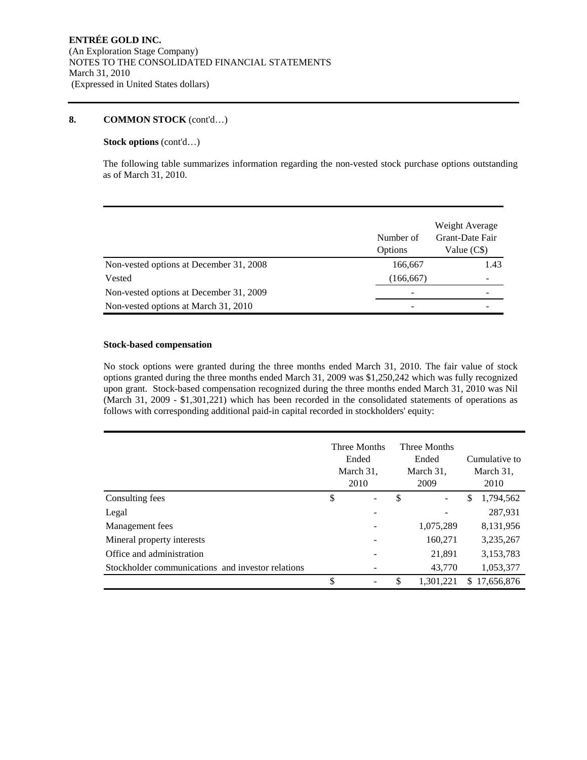# **Stock options** (cont'd…)

The following table summarizes information regarding the non-vested stock purchase options outstanding as of March 31, 2010.

|                                         | Number of<br>Options | Weight Average<br>Grant-Date Fair<br>Value (C\$) |
|-----------------------------------------|----------------------|--------------------------------------------------|
| Non-vested options at December 31, 2008 | 166,667              | 1.43                                             |
| Vested                                  | (166, 667)           |                                                  |
| Non-vested options at December 31, 2009 |                      |                                                  |
| Non-vested options at March 31, 2010    |                      |                                                  |

# **Stock-based compensation**

No stock options were granted during the three months ended March 31, 2010. The fair value of stock options granted during the three months ended March 31, 2009 was \$1,250,242 which was fully recognized upon grant. Stock-based compensation recognized during the three months ended March 31, 2010 was Nil (March 31, 2009 - \$1,301,221) which has been recorded in the consolidated statements of operations as follows with corresponding additional paid-in capital recorded in stockholders' equity:

|                                                   | Three Months<br>Ended<br>March 31,<br>2010 | Three Months<br>Ended<br>March 31,<br>2009 |           |    | Cumulative to<br>March 31,<br>2010 |
|---------------------------------------------------|--------------------------------------------|--------------------------------------------|-----------|----|------------------------------------|
| Consulting fees                                   | \$<br>$\qquad \qquad -$                    | \$                                         |           | \$ | 1,794,562                          |
| Legal                                             |                                            |                                            |           |    | 287,931                            |
| Management fees                                   |                                            |                                            | 1,075,289 |    | 8,131,956                          |
| Mineral property interests                        |                                            |                                            | 160,271   |    | 3,235,267                          |
| Office and administration                         |                                            |                                            | 21,891    |    | 3,153,783                          |
| Stockholder communications and investor relations |                                            |                                            | 43,770    |    | 1,053,377                          |
|                                                   | \$                                         | \$                                         | 1.301.221 | S. | 17,656,876                         |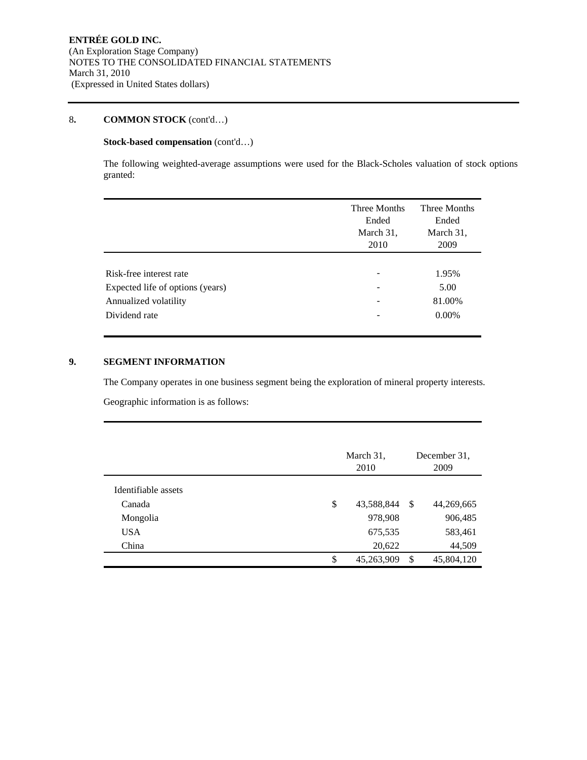# **Stock-based compensation** (cont'd…)

The following weighted-average assumptions were used for the Black-Scholes valuation of stock options granted:

|                                                                            | Three Months<br>Ended<br>March 31,<br>2010                              | Three Months<br>Ended<br>March 31,<br>2009 |
|----------------------------------------------------------------------------|-------------------------------------------------------------------------|--------------------------------------------|
| Risk-free interest rate                                                    | $\overline{\phantom{0}}$                                                | 1.95%                                      |
| Expected life of options (years)<br>Annualized volatility<br>Dividend rate | $\overline{\phantom{a}}$<br>$\overline{\phantom{a}}$<br>$\qquad \qquad$ | 5.00<br>81.00%<br>$0.00\%$                 |
|                                                                            |                                                                         |                                            |

# **9. SEGMENT INFORMATION**

The Company operates in one business segment being the exploration of mineral property interests.

Geographic information is as follows:

|                     | March 31,<br>2010 |     | December 31.<br>2009 |  |
|---------------------|-------------------|-----|----------------------|--|
| Identifiable assets |                   |     |                      |  |
| Canada              | \$<br>43,588,844  | -\$ | 44,269,665           |  |
| Mongolia            | 978,908           |     | 906,485              |  |
| <b>USA</b>          | 675,535           |     | 583,461              |  |
| China               | 20,622            |     | 44,509               |  |
|                     | \$<br>45,263,909  | S   | 45,804,120           |  |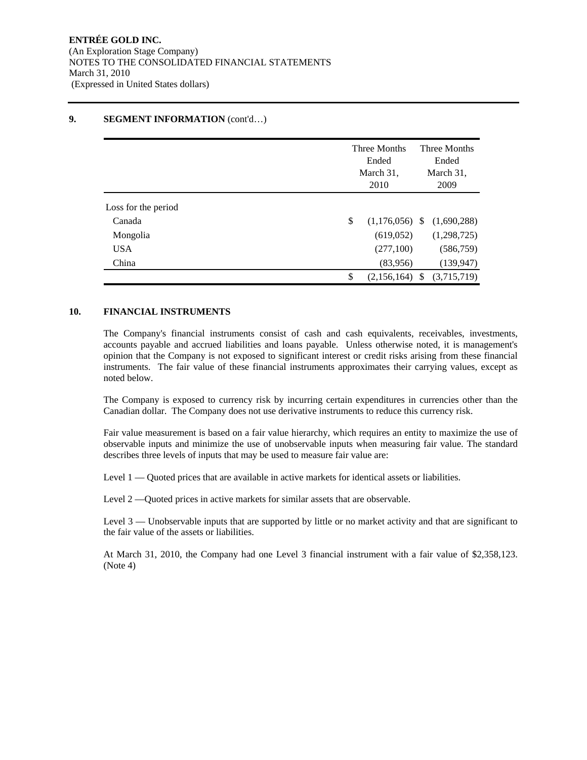#### Three Months Ended March 31, 2010 Three Months Ended March 31, 2009 Loss for the period Canada **(1,176,056)** \$ (1,176,056) \$ (1,690,288) Mongolia (619,052) (1,298,725) USA (277,100) (586,759) China (83,956) (139,947)  $$ (2,156,164) $ (3,715,719)$

# **9. SEGMENT INFORMATION** (cont'd...)

# **10. FINANCIAL INSTRUMENTS**

The Company's financial instruments consist of cash and cash equivalents, receivables, investments, accounts payable and accrued liabilities and loans payable. Unless otherwise noted, it is management's opinion that the Company is not exposed to significant interest or credit risks arising from these financial instruments. The fair value of these financial instruments approximates their carrying values, except as noted below.

The Company is exposed to currency risk by incurring certain expenditures in currencies other than the Canadian dollar. The Company does not use derivative instruments to reduce this currency risk.

Fair value measurement is based on a fair value hierarchy, which requires an entity to maximize the use of observable inputs and minimize the use of unobservable inputs when measuring fair value. The standard describes three levels of inputs that may be used to measure fair value are:

Level 1 — Quoted prices that are available in active markets for identical assets or liabilities.

Level 2 —Quoted prices in active markets for similar assets that are observable.

Level 3 — Unobservable inputs that are supported by little or no market activity and that are significant to the fair value of the assets or liabilities.

At March 31, 2010, the Company had one Level 3 financial instrument with a fair value of \$2,358,123. (Note 4)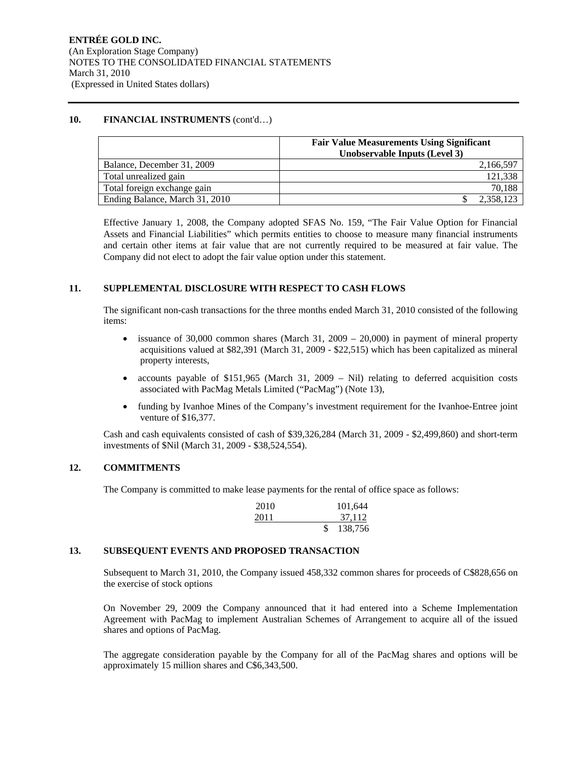#### 10. FINANCIAL INSTRUMENTS (cont'd...)

|                                | <b>Fair Value Measurements Using Significant</b><br>Unobservable Inputs (Level 3) |  |  |
|--------------------------------|-----------------------------------------------------------------------------------|--|--|
| Balance, December 31, 2009     | 2,166,597                                                                         |  |  |
| Total unrealized gain          | 121,338                                                                           |  |  |
| Total foreign exchange gain    | 70,188                                                                            |  |  |
| Ending Balance, March 31, 2010 | 2,358,123                                                                         |  |  |

Effective January 1, 2008, the Company adopted SFAS No. 159, "The Fair Value Option for Financial Assets and Financial Liabilities" which permits entities to choose to measure many financial instruments and certain other items at fair value that are not currently required to be measured at fair value. The Company did not elect to adopt the fair value option under this statement.

# **11. SUPPLEMENTAL DISCLOSURE WITH RESPECT TO CASH FLOWS**

The significant non-cash transactions for the three months ended March 31, 2010 consisted of the following items:

- issuance of 30,000 common shares (March 31, 2009 20,000) in payment of mineral property acquisitions valued at \$82,391 (March 31, 2009 - \$22,515) which has been capitalized as mineral property interests,
- accounts payable of \$151,965 (March 31, 2009 Nil) relating to deferred acquisition costs associated with PacMag Metals Limited ("PacMag") (Note 13),
- funding by Ivanhoe Mines of the Company's investment requirement for the Ivanhoe-Entree joint venture of \$16,377.

Cash and cash equivalents consisted of cash of \$39,326,284 (March 31, 2009 - \$2,499,860) and short-term investments of \$Nil (March 31, 2009 - \$38,524,554).

# **12. COMMITMENTS**

The Company is committed to make lease payments for the rental of office space as follows:

| 2010 | 101,644 |
|------|---------|
| 2011 | 37.112  |
|      | 138,756 |

#### **13. SUBSEQUENT EVENTS AND PROPOSED TRANSACTION**

Subsequent to March 31, 2010, the Company issued 458,332 common shares for proceeds of C\$828,656 on the exercise of stock options

On November 29, 2009 the Company announced that it had entered into a Scheme Implementation Agreement with PacMag to implement Australian Schemes of Arrangement to acquire all of the issued shares and options of PacMag.

The aggregate consideration payable by the Company for all of the PacMag shares and options will be approximately 15 million shares and C\$6,343,500.